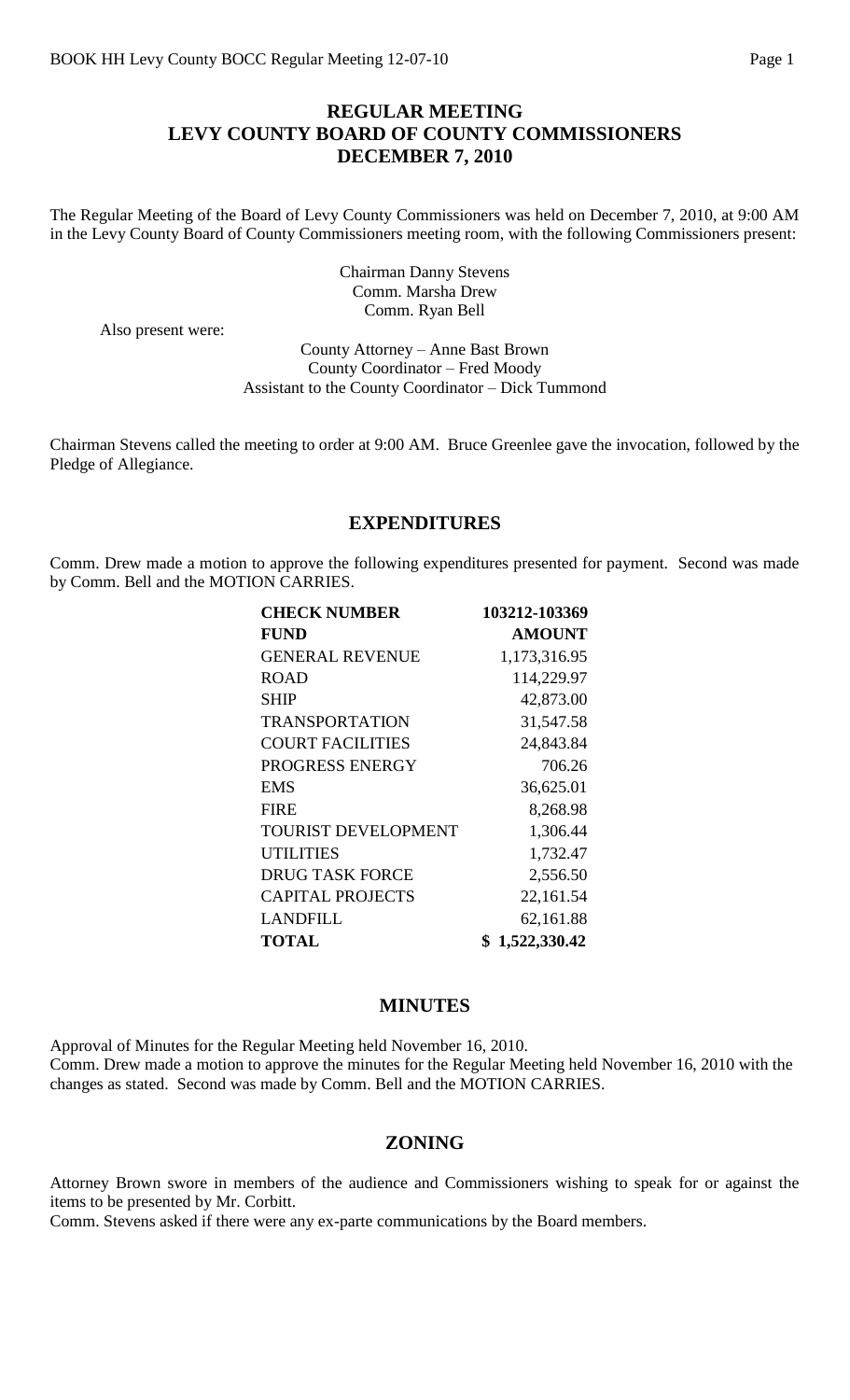### **REGULAR MEETING LEVY COUNTY BOARD OF COUNTY COMMISSIONERS DECEMBER 7, 2010**

The Regular Meeting of the Board of Levy County Commissioners was held on December 7, 2010, at 9:00 AM in the Levy County Board of County Commissioners meeting room, with the following Commissioners present:

> Chairman Danny Stevens Comm. Marsha Drew Comm. Ryan Bell

Also present were:

County Attorney – Anne Bast Brown County Coordinator – Fred Moody Assistant to the County Coordinator – Dick Tummond

Chairman Stevens called the meeting to order at 9:00 AM. Bruce Greenlee gave the invocation, followed by the Pledge of Allegiance.

### **EXPENDITURES**

Comm. Drew made a motion to approve the following expenditures presented for payment. Second was made by Comm. Bell and the MOTION CARRIES.

| <b>CHECK NUMBER</b>        | 103212-103369 |
|----------------------------|---------------|
| <b>FUND</b>                | <b>AMOUNT</b> |
| <b>GENERAL REVENUE</b>     | 1,173,316.95  |
| <b>ROAD</b>                | 114,229.97    |
| SHIP                       | 42,873.00     |
| <b>TRANSPORTATION</b>      | 31,547.58     |
| <b>COURT FACILITIES</b>    | 24,843.84     |
| PROGRESS ENERGY            | 706.26        |
| <b>EMS</b>                 | 36,625.01     |
| <b>FIRE</b>                | 8,268.98      |
| <b>TOURIST DEVELOPMENT</b> | 1,306.44      |
| <b>UTILITIES</b>           | 1,732.47      |
| <b>DRUG TASK FORCE</b>     | 2,556.50      |
| <b>CAPITAL PROJECTS</b>    | 22,161.54     |
| <b>LANDFILL</b>            | 62,161.88     |
| <b>TOTAL</b>               | 1,522,330.42  |

### **MINUTES**

Approval of Minutes for the Regular Meeting held November 16, 2010. Comm. Drew made a motion to approve the minutes for the Regular Meeting held November 16, 2010 with the changes as stated. Second was made by Comm. Bell and the MOTION CARRIES.

#### **ZONING**

Attorney Brown swore in members of the audience and Commissioners wishing to speak for or against the items to be presented by Mr. Corbitt.

Comm. Stevens asked if there were any ex-parte communications by the Board members.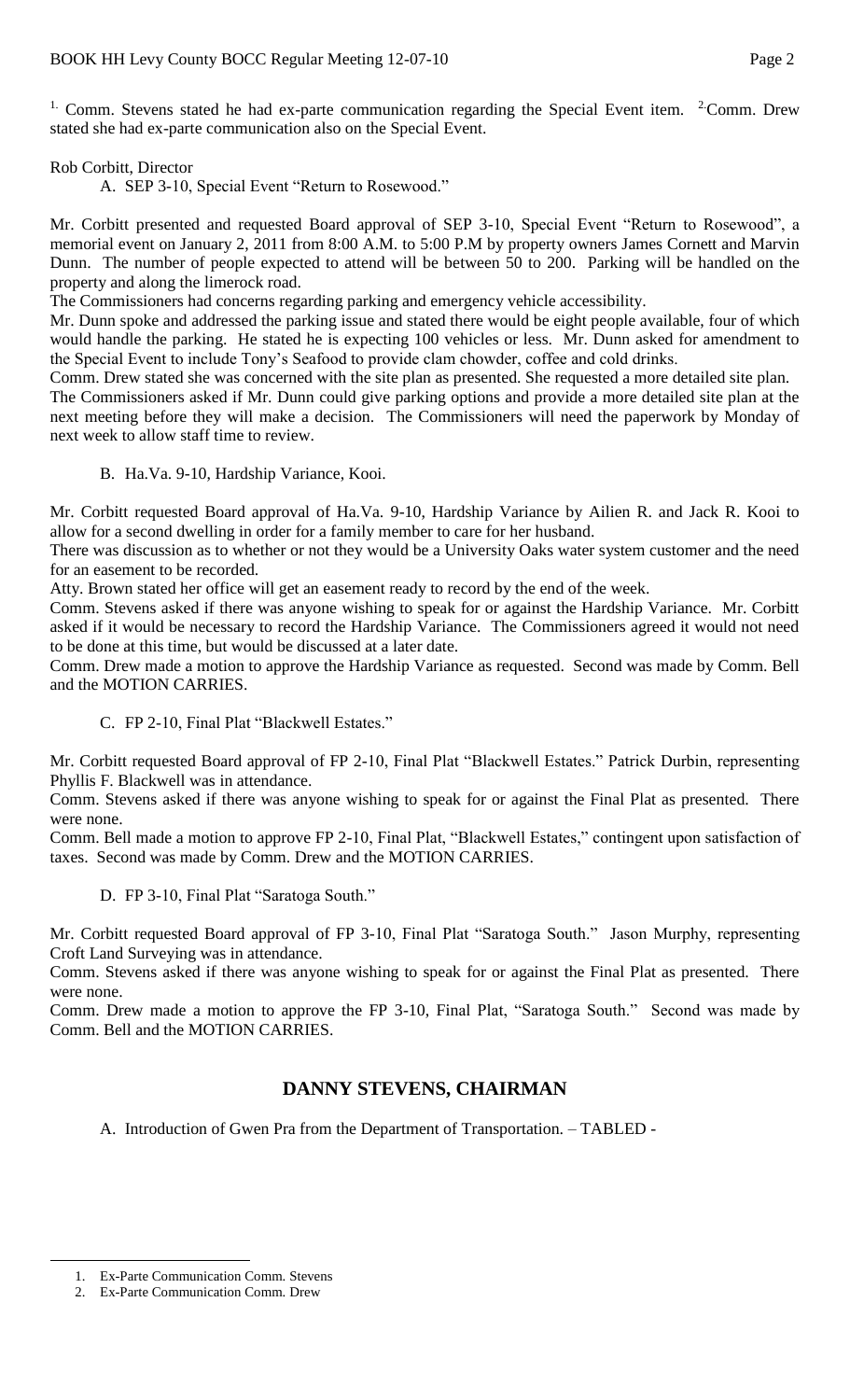<sup>1.</sup> Comm. Stevens stated he had ex-parte communication regarding the Special Event item.  $2$ Comm. Drew stated she had ex-parte communication also on the Special Event.

#### Rob Corbitt, Director

A. SEP 3-10, Special Event "Return to Rosewood."

Mr. Corbitt presented and requested Board approval of SEP 3-10, Special Event "Return to Rosewood", a memorial event on January 2, 2011 from 8:00 A.M. to 5:00 P.M by property owners James Cornett and Marvin Dunn. The number of people expected to attend will be between 50 to 200. Parking will be handled on the property and along the limerock road.

The Commissioners had concerns regarding parking and emergency vehicle accessibility.

Mr. Dunn spoke and addressed the parking issue and stated there would be eight people available, four of which would handle the parking. He stated he is expecting 100 vehicles or less. Mr. Dunn asked for amendment to the Special Event to include Tony's Seafood to provide clam chowder, coffee and cold drinks.

Comm. Drew stated she was concerned with the site plan as presented. She requested a more detailed site plan.

The Commissioners asked if Mr. Dunn could give parking options and provide a more detailed site plan at the next meeting before they will make a decision. The Commissioners will need the paperwork by Monday of next week to allow staff time to review.

B. Ha.Va. 9-10, Hardship Variance, Kooi.

Mr. Corbitt requested Board approval of Ha.Va. 9-10, Hardship Variance by Ailien R. and Jack R. Kooi to allow for a second dwelling in order for a family member to care for her husband.

There was discussion as to whether or not they would be a University Oaks water system customer and the need for an easement to be recorded.

Atty. Brown stated her office will get an easement ready to record by the end of the week.

Comm. Stevens asked if there was anyone wishing to speak for or against the Hardship Variance. Mr. Corbitt asked if it would be necessary to record the Hardship Variance. The Commissioners agreed it would not need to be done at this time, but would be discussed at a later date.

Comm. Drew made a motion to approve the Hardship Variance as requested. Second was made by Comm. Bell and the MOTION CARRIES.

C. FP 2-10, Final Plat "Blackwell Estates."

Mr. Corbitt requested Board approval of FP 2-10, Final Plat "Blackwell Estates." Patrick Durbin, representing Phyllis F. Blackwell was in attendance.

Comm. Stevens asked if there was anyone wishing to speak for or against the Final Plat as presented. There were none.

Comm. Bell made a motion to approve FP 2-10, Final Plat, "Blackwell Estates," contingent upon satisfaction of taxes. Second was made by Comm. Drew and the MOTION CARRIES.

D. FP 3-10, Final Plat "Saratoga South."

Mr. Corbitt requested Board approval of FP 3-10, Final Plat "Saratoga South." Jason Murphy, representing Croft Land Surveying was in attendance.

Comm. Stevens asked if there was anyone wishing to speak for or against the Final Plat as presented. There were none.

Comm. Drew made a motion to approve the FP 3-10, Final Plat, "Saratoga South." Second was made by Comm. Bell and the MOTION CARRIES.

## **DANNY STEVENS, CHAIRMAN**

A. Introduction of Gwen Pra from the Department of Transportation. – TABLED -

 $\overline{a}$ 

<sup>1.</sup> Ex-Parte Communication Comm. Stevens

<sup>2.</sup> Ex-Parte Communication Comm. Drew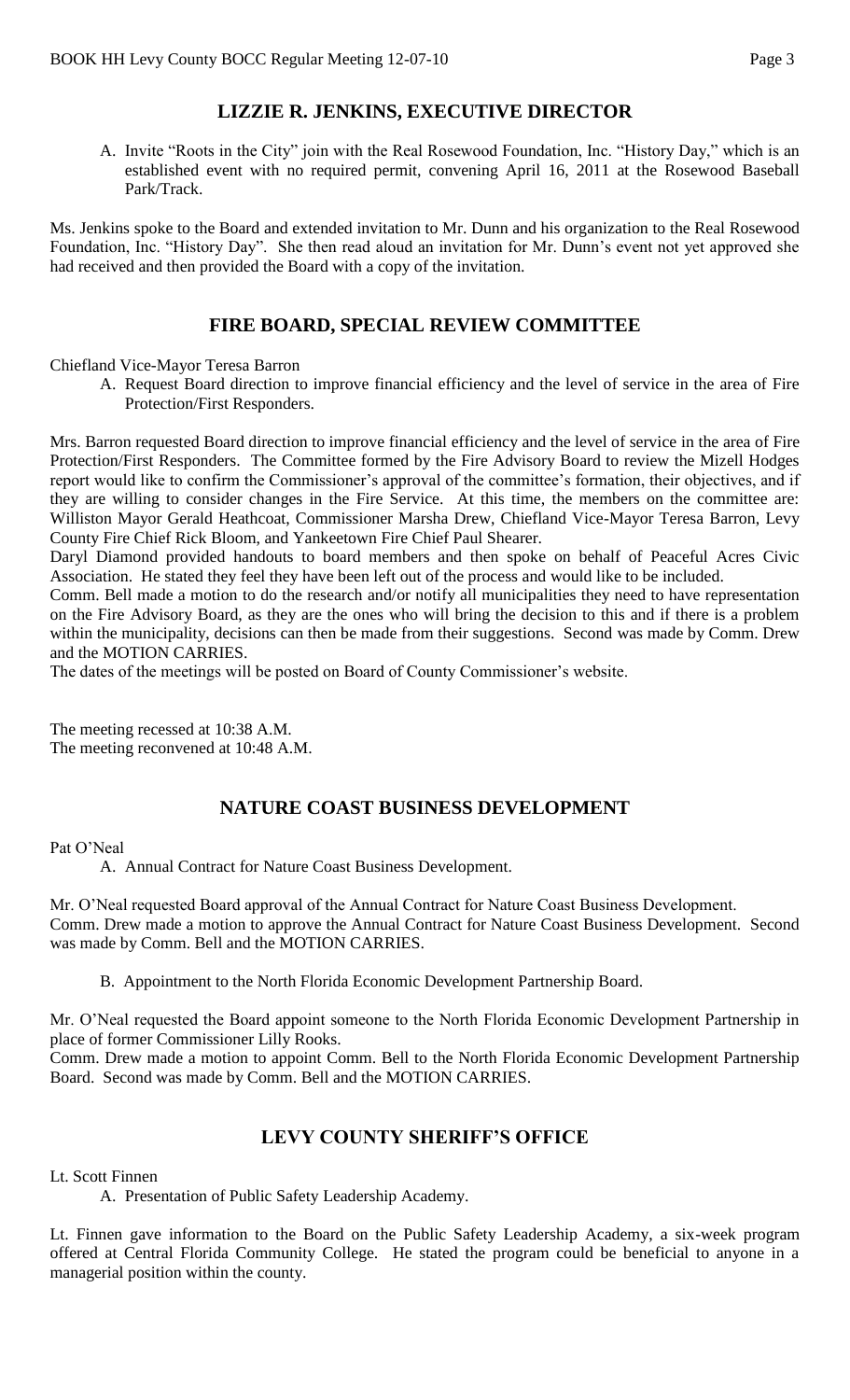# **LIZZIE R. JENKINS, EXECUTIVE DIRECTOR**

A. Invite "Roots in the City" join with the Real Rosewood Foundation, Inc. "History Day," which is an established event with no required permit, convening April 16, 2011 at the Rosewood Baseball Park/Track.

Ms. Jenkins spoke to the Board and extended invitation to Mr. Dunn and his organization to the Real Rosewood Foundation, Inc. "History Day". She then read aloud an invitation for Mr. Dunn's event not yet approved she had received and then provided the Board with a copy of the invitation.

### **FIRE BOARD, SPECIAL REVIEW COMMITTEE**

Chiefland Vice-Mayor Teresa Barron

A. Request Board direction to improve financial efficiency and the level of service in the area of Fire Protection/First Responders.

Mrs. Barron requested Board direction to improve financial efficiency and the level of service in the area of Fire Protection/First Responders. The Committee formed by the Fire Advisory Board to review the Mizell Hodges report would like to confirm the Commissioner's approval of the committee's formation, their objectives, and if they are willing to consider changes in the Fire Service. At this time, the members on the committee are: Williston Mayor Gerald Heathcoat, Commissioner Marsha Drew, Chiefland Vice-Mayor Teresa Barron, Levy County Fire Chief Rick Bloom, and Yankeetown Fire Chief Paul Shearer.

Daryl Diamond provided handouts to board members and then spoke on behalf of Peaceful Acres Civic Association. He stated they feel they have been left out of the process and would like to be included.

Comm. Bell made a motion to do the research and/or notify all municipalities they need to have representation on the Fire Advisory Board, as they are the ones who will bring the decision to this and if there is a problem within the municipality, decisions can then be made from their suggestions. Second was made by Comm. Drew and the MOTION CARRIES.

The dates of the meetings will be posted on Board of County Commissioner's website.

The meeting recessed at 10:38 A.M. The meeting reconvened at 10:48 A.M.

# **NATURE COAST BUSINESS DEVELOPMENT**

#### Pat O'Neal

A. Annual Contract for Nature Coast Business Development.

Mr. O'Neal requested Board approval of the Annual Contract for Nature Coast Business Development. Comm. Drew made a motion to approve the Annual Contract for Nature Coast Business Development. Second was made by Comm. Bell and the MOTION CARRIES.

B. Appointment to the North Florida Economic Development Partnership Board.

Mr. O'Neal requested the Board appoint someone to the North Florida Economic Development Partnership in place of former Commissioner Lilly Rooks.

Comm. Drew made a motion to appoint Comm. Bell to the North Florida Economic Development Partnership Board. Second was made by Comm. Bell and the MOTION CARRIES.

## **LEVY COUNTY SHERIFF'S OFFICE**

Lt. Scott Finnen

A. Presentation of Public Safety Leadership Academy.

Lt. Finnen gave information to the Board on the Public Safety Leadership Academy, a six-week program offered at Central Florida Community College. He stated the program could be beneficial to anyone in a managerial position within the county.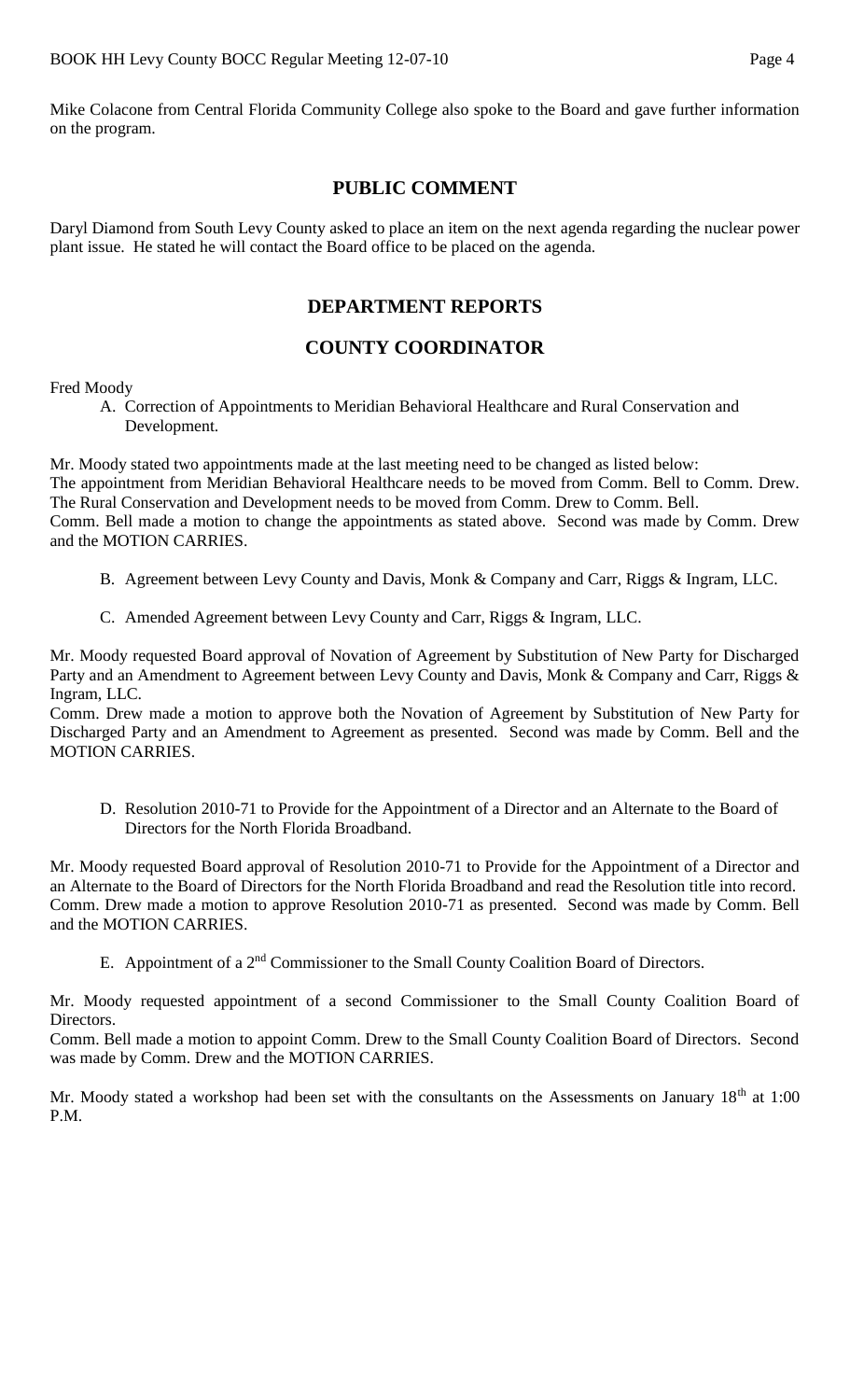Mike Colacone from Central Florida Community College also spoke to the Board and gave further information on the program.

### **PUBLIC COMMENT**

Daryl Diamond from South Levy County asked to place an item on the next agenda regarding the nuclear power plant issue. He stated he will contact the Board office to be placed on the agenda.

# **DEPARTMENT REPORTS**

### **COUNTY COORDINATOR**

Fred Moody

A. Correction of Appointments to Meridian Behavioral Healthcare and Rural Conservation and Development.

Mr. Moody stated two appointments made at the last meeting need to be changed as listed below: The appointment from Meridian Behavioral Healthcare needs to be moved from Comm. Bell to Comm. Drew. The Rural Conservation and Development needs to be moved from Comm. Drew to Comm. Bell. Comm. Bell made a motion to change the appointments as stated above. Second was made by Comm. Drew and the MOTION CARRIES.

- B. Agreement between Levy County and Davis, Monk & Company and Carr, Riggs & Ingram, LLC.
- C. Amended Agreement between Levy County and Carr, Riggs & Ingram, LLC.

Mr. Moody requested Board approval of Novation of Agreement by Substitution of New Party for Discharged Party and an Amendment to Agreement between Levy County and Davis, Monk & Company and Carr, Riggs & Ingram, LLC.

Comm. Drew made a motion to approve both the Novation of Agreement by Substitution of New Party for Discharged Party and an Amendment to Agreement as presented. Second was made by Comm. Bell and the MOTION CARRIES.

D. Resolution 2010-71 to Provide for the Appointment of a Director and an Alternate to the Board of Directors for the North Florida Broadband.

Mr. Moody requested Board approval of Resolution 2010-71 to Provide for the Appointment of a Director and an Alternate to the Board of Directors for the North Florida Broadband and read the Resolution title into record. Comm. Drew made a motion to approve Resolution 2010-71 as presented. Second was made by Comm. Bell and the MOTION CARRIES.

E. Appointment of a 2<sup>nd</sup> Commissioner to the Small County Coalition Board of Directors.

Mr. Moody requested appointment of a second Commissioner to the Small County Coalition Board of Directors.

Comm. Bell made a motion to appoint Comm. Drew to the Small County Coalition Board of Directors. Second was made by Comm. Drew and the MOTION CARRIES.

Mr. Moody stated a workshop had been set with the consultants on the Assessments on January 18<sup>th</sup> at 1:00 P.M.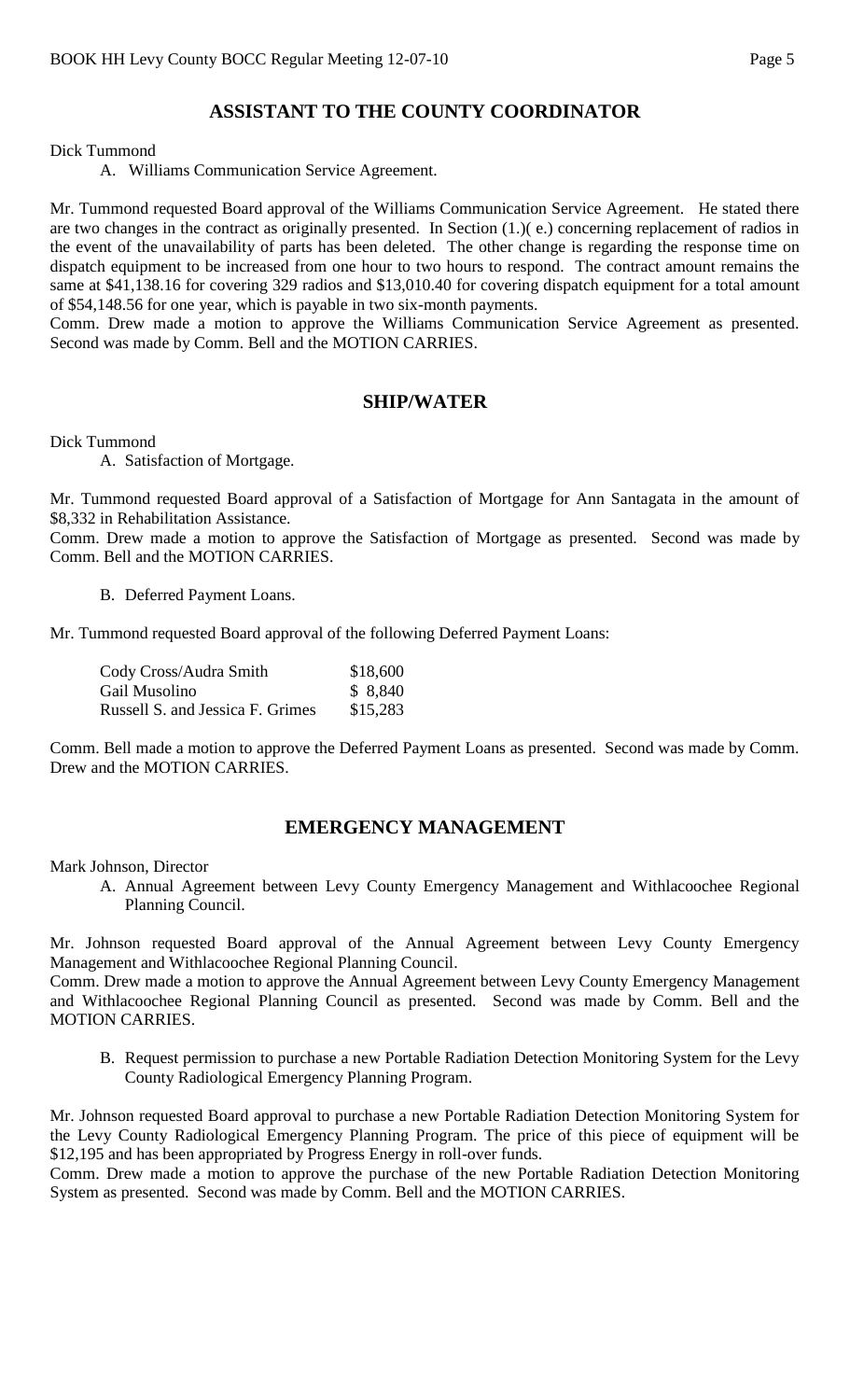# **ASSISTANT TO THE COUNTY COORDINATOR**

Dick Tummond

A. Williams Communication Service Agreement.

Mr. Tummond requested Board approval of the Williams Communication Service Agreement. He stated there are two changes in the contract as originally presented. In Section (1.)( e.) concerning replacement of radios in the event of the unavailability of parts has been deleted. The other change is regarding the response time on dispatch equipment to be increased from one hour to two hours to respond. The contract amount remains the same at \$41,138.16 for covering 329 radios and \$13,010.40 for covering dispatch equipment for a total amount of \$54,148.56 for one year, which is payable in two six-month payments.

Comm. Drew made a motion to approve the Williams Communication Service Agreement as presented. Second was made by Comm. Bell and the MOTION CARRIES.

#### **SHIP/WATER**

Dick Tummond

A. Satisfaction of Mortgage.

Mr. Tummond requested Board approval of a Satisfaction of Mortgage for Ann Santagata in the amount of \$8,332 in Rehabilitation Assistance.

Comm. Drew made a motion to approve the Satisfaction of Mortgage as presented. Second was made by Comm. Bell and the MOTION CARRIES.

B. Deferred Payment Loans.

Mr. Tummond requested Board approval of the following Deferred Payment Loans:

| Cody Cross/Audra Smith           | \$18,600 |
|----------------------------------|----------|
| Gail Musolino                    | \$ 8,840 |
| Russell S. and Jessica F. Grimes | \$15,283 |

Comm. Bell made a motion to approve the Deferred Payment Loans as presented. Second was made by Comm. Drew and the MOTION CARRIES.

#### **EMERGENCY MANAGEMENT**

Mark Johnson, Director

A. Annual Agreement between Levy County Emergency Management and Withlacoochee Regional Planning Council.

Mr. Johnson requested Board approval of the Annual Agreement between Levy County Emergency Management and Withlacoochee Regional Planning Council.

Comm. Drew made a motion to approve the Annual Agreement between Levy County Emergency Management and Withlacoochee Regional Planning Council as presented. Second was made by Comm. Bell and the MOTION CARRIES.

B. Request permission to purchase a new Portable Radiation Detection Monitoring System for the Levy County Radiological Emergency Planning Program.

Mr. Johnson requested Board approval to purchase a new Portable Radiation Detection Monitoring System for the Levy County Radiological Emergency Planning Program. The price of this piece of equipment will be \$12,195 and has been appropriated by Progress Energy in roll-over funds.

Comm. Drew made a motion to approve the purchase of the new Portable Radiation Detection Monitoring System as presented. Second was made by Comm. Bell and the MOTION CARRIES.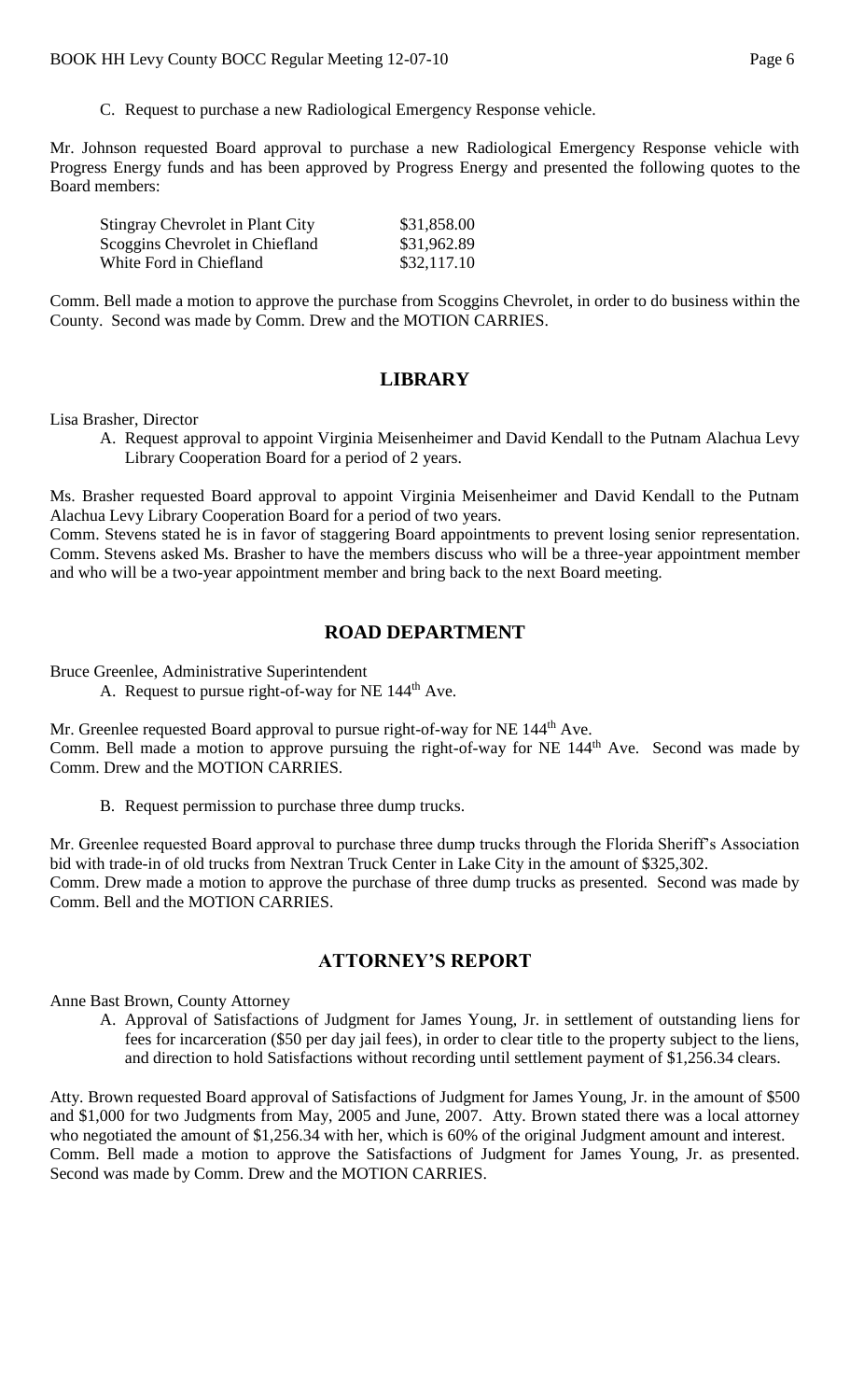C. Request to purchase a new Radiological Emergency Response vehicle.

Mr. Johnson requested Board approval to purchase a new Radiological Emergency Response vehicle with Progress Energy funds and has been approved by Progress Energy and presented the following quotes to the Board members:

| <b>Stingray Chevrolet in Plant City</b> | \$31,858.00 |
|-----------------------------------------|-------------|
| Scoggins Chevrolet in Chiefland         | \$31,962.89 |
| White Ford in Chiefland                 | \$32,117.10 |

Comm. Bell made a motion to approve the purchase from Scoggins Chevrolet, in order to do business within the County. Second was made by Comm. Drew and the MOTION CARRIES.

### **LIBRARY**

Lisa Brasher, Director

A. Request approval to appoint Virginia Meisenheimer and David Kendall to the Putnam Alachua Levy Library Cooperation Board for a period of 2 years.

Ms. Brasher requested Board approval to appoint Virginia Meisenheimer and David Kendall to the Putnam Alachua Levy Library Cooperation Board for a period of two years.

Comm. Stevens stated he is in favor of staggering Board appointments to prevent losing senior representation. Comm. Stevens asked Ms. Brasher to have the members discuss who will be a three-year appointment member and who will be a two-year appointment member and bring back to the next Board meeting.

### **ROAD DEPARTMENT**

Bruce Greenlee, Administrative Superintendent

A. Request to pursue right-of-way for  $NE$  144<sup>th</sup> Ave.

Mr. Greenlee requested Board approval to pursue right-of-way for NE 144<sup>th</sup> Ave. Comm. Bell made a motion to approve pursuing the right-of-way for NE 144th Ave. Second was made by Comm. Drew and the MOTION CARRIES.

B. Request permission to purchase three dump trucks.

Mr. Greenlee requested Board approval to purchase three dump trucks through the Florida Sheriff's Association bid with trade-in of old trucks from Nextran Truck Center in Lake City in the amount of \$325,302. Comm. Drew made a motion to approve the purchase of three dump trucks as presented. Second was made by Comm. Bell and the MOTION CARRIES.

### **ATTORNEY'S REPORT**

Anne Bast Brown, County Attorney

A. Approval of Satisfactions of Judgment for James Young, Jr. in settlement of outstanding liens for fees for incarceration (\$50 per day jail fees), in order to clear title to the property subject to the liens, and direction to hold Satisfactions without recording until settlement payment of \$1,256.34 clears.

Atty. Brown requested Board approval of Satisfactions of Judgment for James Young, Jr. in the amount of \$500 and \$1,000 for two Judgments from May, 2005 and June, 2007. Atty. Brown stated there was a local attorney who negotiated the amount of \$1,256.34 with her, which is 60% of the original Judgment amount and interest. Comm. Bell made a motion to approve the Satisfactions of Judgment for James Young, Jr. as presented. Second was made by Comm. Drew and the MOTION CARRIES.